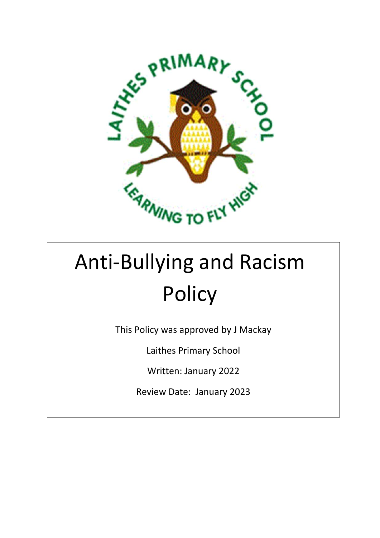

# Anti-Bullying and Racism **Policy**

This Policy was approved by J Mackay

Laithes Primary School

Written: January 2022

Review Date: January 2023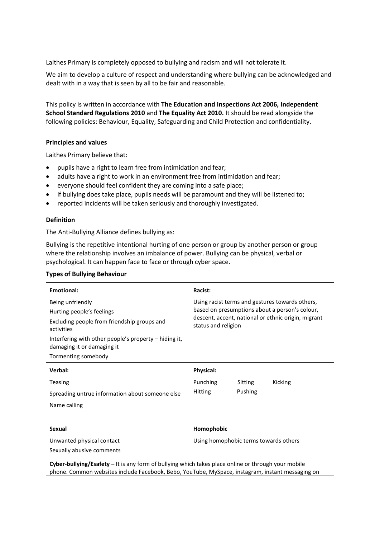Laithes Primary is completely opposed to bullying and racism and will not tolerate it.

We aim to develop a culture of respect and understanding where bullying can be acknowledged and dealt with in a way that is seen by all to be fair and reasonable.

This policy is written in accordance with **The Education and Inspections Act 2006, Independent School Standard Regulations 2010** and **The Equality Act 2010.** It should be read alongside the following policies: Behaviour, Equality, Safeguarding and Child Protection and confidentiality.

## **Principles and values**

Laithes Primary believe that:

- pupils have a right to learn free from intimidation and fear;
- adults have a right to work in an environment free from intimidation and fear;
- everyone should feel confident they are coming into a safe place;
- if bullying does take place, pupils needs will be paramount and they will be listened to;
- reported incidents will be taken seriously and thoroughly investigated.

## **Definition**

The Anti-Bullying Alliance defines bullying as:

Bullying is the repetitive intentional hurting of one person or group by another person or group where the relationship involves an imbalance of power. Bullying can be physical, verbal or psychological. It can happen face to face or through cyber space.

|  |  |  | <b>Types of Bullying Behaviour</b> |
|--|--|--|------------------------------------|
|--|--|--|------------------------------------|

| <b>Emotional:</b>                                                                                                                                                                                   | Racist:                                                                                                                                                                         |
|-----------------------------------------------------------------------------------------------------------------------------------------------------------------------------------------------------|---------------------------------------------------------------------------------------------------------------------------------------------------------------------------------|
| Being unfriendly<br>Hurting people's feelings<br>Excluding people from friendship groups and<br>activities<br>Interfering with other people's property $-$ hiding it,<br>damaging it or damaging it | Using racist terms and gestures towards others,<br>based on presumptions about a person's colour,<br>descent, accent, national or ethnic origin, migrant<br>status and religion |
| Tormenting somebody                                                                                                                                                                                 |                                                                                                                                                                                 |
| Verbal:                                                                                                                                                                                             | <b>Physical:</b>                                                                                                                                                                |
| <b>Teasing</b>                                                                                                                                                                                      | Punching<br>Sitting<br>Kicking                                                                                                                                                  |
| Spreading untrue information about someone else                                                                                                                                                     | Pushing<br><b>Hitting</b>                                                                                                                                                       |
| Name calling                                                                                                                                                                                        |                                                                                                                                                                                 |
|                                                                                                                                                                                                     |                                                                                                                                                                                 |
| <b>Sexual</b>                                                                                                                                                                                       | Homophobic                                                                                                                                                                      |
| Unwanted physical contact                                                                                                                                                                           | Using homophobic terms towards others                                                                                                                                           |
| Sexually abusive comments                                                                                                                                                                           |                                                                                                                                                                                 |
|                                                                                                                                                                                                     |                                                                                                                                                                                 |

**Cyber-bullying/Esafety –** It is any form of bullying which takes place online or through your mobile phone. Common websites include Facebook, Bebo, YouTube, MySpace, instagram, instant messaging on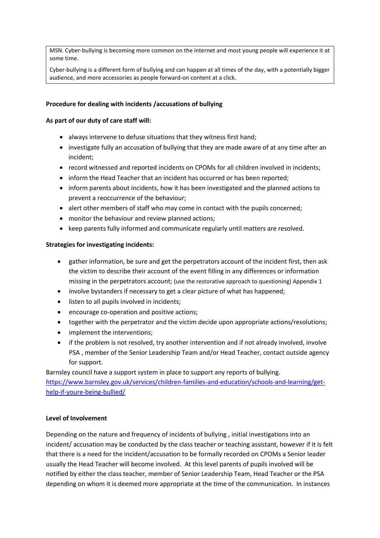MSN. Cyber-bullying is becoming more common on the internet and most young people will experience it at some time.

Cyber-bullying is a different form of bullying and can happen at all times of the day, with a potentially bigger audience, and more accessories as people forward-on content at a click.

## **Procedure for dealing with incidents /accusations of bullying**

## **As part of our duty of care staff will:**

- always intervene to defuse situations that they witness first hand;
- investigate fully an accusation of bullying that they are made aware of at any time after an incident;
- record witnessed and reported incidents on CPOMs for all children involved in incidents;
- inform the Head Teacher that an incident has occurred or has been reported;
- inform parents about incidents, how it has been investigated and the planned actions to prevent a reoccurrence of the behaviour;
- alert other members of staff who may come in contact with the pupils concerned;
- monitor the behaviour and review planned actions;
- keep parents fully informed and communicate regularly until matters are resolved.

## **Strategies for investigating incidents:**

- gather information, be sure and get the perpetrators account of the incident first, then ask the victim to describe their account of the event filling in any differences or information missing in the perpetrators account; (use the restorative approach to questioning) Appendix 1
- involve bystanders if necessary to get a clear picture of what has happened;
- listen to all pupils involved in incidents;
- encourage co-operation and positive actions;
- together with the perpetrator and the victim decide upon appropriate actions/resolutions;
- implement the interventions;
- if the problem is not resolved, try another intervention and if not already involved, involve PSA , member of the Senior Leadership Team and/or Head Teacher, contact outside agency for support.

Barnsley council have a support system in place to support any reports of bullying. [https://www.barnsley.gov.uk/services/children-families-and-education/schools-and-learning/get](https://www.barnsley.gov.uk/services/children-families-and-education/schools-and-learning/get-help-if-youre-being-bullied/)[help-if-youre-being-bullied/](https://www.barnsley.gov.uk/services/children-families-and-education/schools-and-learning/get-help-if-youre-being-bullied/)

## **Level of Involvement**

Depending on the nature and frequency of incidents of bullying , initial investigations into an incident/ accusation may be conducted by the class teacher or teaching assistant, however if it is felt that there is a need for the incident/accusation to be formally recorded on CPOMs a Senior leader usually the Head Teacher will become involved. At this level parents of pupils involved will be notified by either the class teacher, member of Senior Leadership Team, Head Teacher or the PSA depending on whom it is deemed more appropriate at the time of the communication. In instances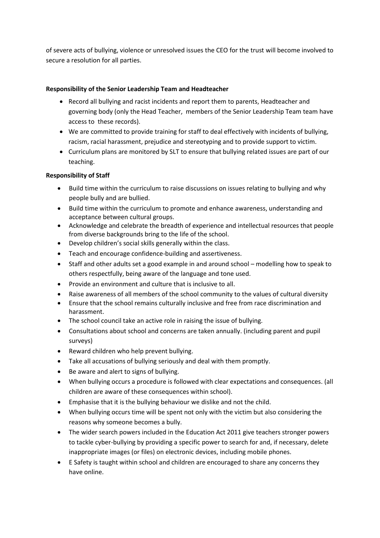of severe acts of bullying, violence or unresolved issues the CEO for the trust will become involved to secure a resolution for all parties.

# **Responsibility of the Senior Leadership Team and Headteacher**

- Record all bullying and racist incidents and report them to parents, Headteacher and governing body (only the Head Teacher, members of the Senior Leadership Team team have access to these records).
- We are committed to provide training for staff to deal effectively with incidents of bullying, racism, racial harassment, prejudice and stereotyping and to provide support to victim.
- Curriculum plans are monitored by SLT to ensure that bullying related issues are part of our teaching.

# **Responsibility of Staff**

- Build time within the curriculum to raise discussions on issues relating to bullying and why people bully and are bullied.
- Build time within the curriculum to promote and enhance awareness, understanding and acceptance between cultural groups.
- Acknowledge and celebrate the breadth of experience and intellectual resources that people from diverse backgrounds bring to the life of the school.
- Develop children's social skills generally within the class.
- Teach and encourage confidence-building and assertiveness.
- Staff and other adults set a good example in and around school modelling how to speak to others respectfully, being aware of the language and tone used.
- Provide an environment and culture that is inclusive to all.
- Raise awareness of all members of the school community to the values of cultural diversity
- Ensure that the school remains culturally inclusive and free from race discrimination and harassment.
- The school council take an active role in raising the issue of bullying.
- Consultations about school and concerns are taken annually. (including parent and pupil surveys)
- Reward children who help prevent bullying.
- Take all accusations of bullying seriously and deal with them promptly.
- Be aware and alert to signs of bullying.
- When bullying occurs a procedure is followed with clear expectations and consequences. (all children are aware of these consequences within school).
- Emphasise that it is the bullying behaviour we dislike and not the child.
- When bullying occurs time will be spent not only with the victim but also considering the reasons why someone becomes a bully.
- The wider search powers included in the Education Act 2011 give teachers stronger powers to tackle cyber-bullying by providing a specific power to search for and, if necessary, delete inappropriate images (or files) on electronic devices, including mobile phones.
- E Safety is taught within school and children are encouraged to share any concerns they have online.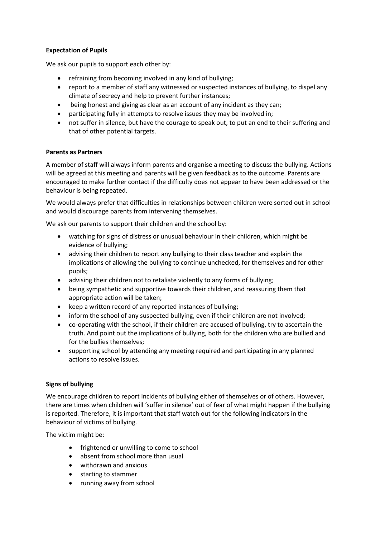## **Expectation of Pupils**

We ask our pupils to support each other by:

- refraining from becoming involved in any kind of bullying;
- report to a member of staff any witnessed or suspected instances of bullying, to dispel any climate of secrecy and help to prevent further instances;
- being honest and giving as clear as an account of any incident as they can;
- participating fully in attempts to resolve issues they may be involved in;
- not suffer in silence, but have the courage to speak out, to put an end to their suffering and that of other potential targets.

## **Parents as Partners**

A member of staff will always inform parents and organise a meeting to discuss the bullying. Actions will be agreed at this meeting and parents will be given feedback as to the outcome. Parents are encouraged to make further contact if the difficulty does not appear to have been addressed or the behaviour is being repeated.

We would always prefer that difficulties in relationships between children were sorted out in school and would discourage parents from intervening themselves.

We ask our parents to support their children and the school by:

- watching for signs of distress or unusual behaviour in their children, which might be evidence of bullying;
- advising their children to report any bullying to their class teacher and explain the implications of allowing the bullying to continue unchecked, for themselves and for other pupils;
- advising their children not to retaliate violently to any forms of bullying;
- being sympathetic and supportive towards their children, and reassuring them that appropriate action will be taken;
- keep a written record of any reported instances of bullying;
- inform the school of any suspected bullying, even if their children are not involved;
- co-operating with the school, if their children are accused of bullying, try to ascertain the truth. And point out the implications of bullying, both for the children who are bullied and for the bullies themselves;
- supporting school by attending any meeting required and participating in any planned actions to resolve issues.

## **Signs of bullying**

We encourage children to report incidents of bullying either of themselves or of others. However, there are times when children will 'suffer in silence' out of fear of what might happen if the bullying is reported. Therefore, it is important that staff watch out for the following indicators in the behaviour of victims of bullying.

The victim might be:

- frightened or unwilling to come to school
- absent from school more than usual
- withdrawn and anxious
- starting to stammer
- running away from school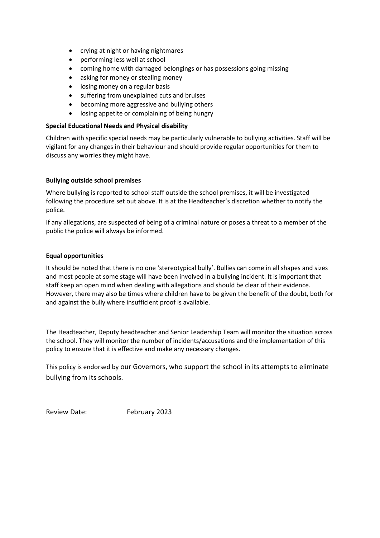- crying at night or having nightmares
- performing less well at school
- coming home with damaged belongings or has possessions going missing
- asking for money or stealing money
- losing money on a regular basis
- suffering from unexplained cuts and bruises
- becoming more aggressive and bullying others
- losing appetite or complaining of being hungry

## **Special Educational Needs and Physical disability**

Children with specific special needs may be particularly vulnerable to bullying activities. Staff will be vigilant for any changes in their behaviour and should provide regular opportunities for them to discuss any worries they might have.

## **Bullying outside school premises**

Where bullying is reported to school staff outside the school premises, it will be investigated following the procedure set out above. It is at the Headteacher's discretion whether to notify the police.

If any allegations, are suspected of being of a criminal nature or poses a threat to a member of the public the police will always be informed.

## **Equal opportunities**

It should be noted that there is no one 'stereotypical bully'. Bullies can come in all shapes and sizes and most people at some stage will have been involved in a bullying incident. It is important that staff keep an open mind when dealing with allegations and should be clear of their evidence. However, there may also be times where children have to be given the benefit of the doubt, both for and against the bully where insufficient proof is available.

The Headteacher, Deputy headteacher and Senior Leadership Team will monitor the situation across the school. They will monitor the number of incidents/accusations and the implementation of this policy to ensure that it is effective and make any necessary changes.

This policy is endorsed by our Governors, who support the school in its attempts to eliminate bullying from its schools.

Review Date: February 2023